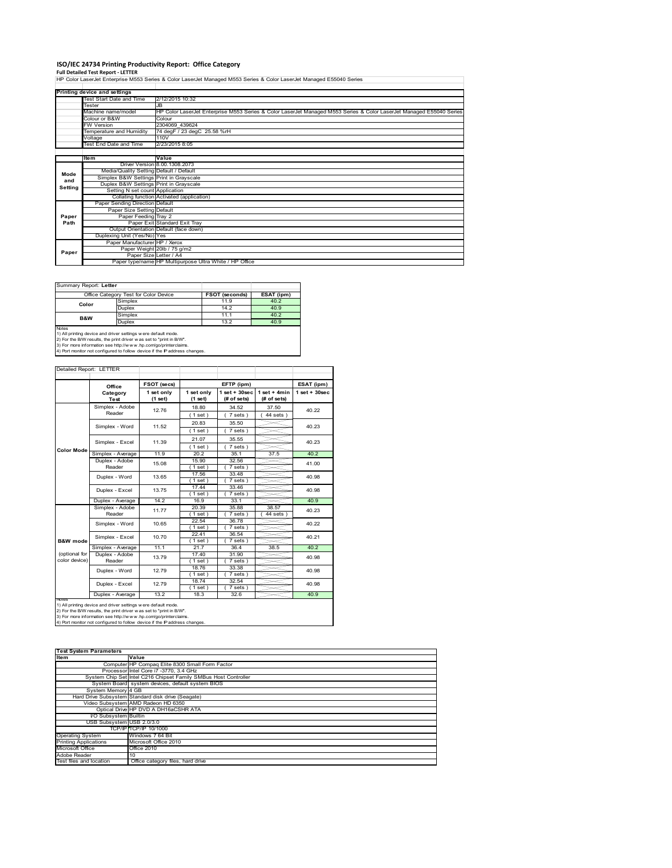# **ISO/IEC 24734 Printing Productivity Report: Office Category**

**Full Detailed Test Report ‐ LETTER** HP Color LaserJet Enterprise M553 Series & Color LaserJet Managed M553 Series & Color LaserJet Managed E55040 Series

|         | Printing device and settings            |                                                                                                                      |
|---------|-----------------------------------------|----------------------------------------------------------------------------------------------------------------------|
|         | <b>Test Start Date and Time</b>         | 2/12/2015 10:32                                                                                                      |
|         | Tester                                  | .IR                                                                                                                  |
|         | Machine name/model                      | HP Color LaserJet Enterprise M553 Series & Color LaserJet Managed M553 Series & Color LaserJet Managed E55040 Series |
|         | Colour or B&W                           | Colour                                                                                                               |
|         | <b>FW Version</b>                       | 2304069 439624                                                                                                       |
|         | Temperature and Humidity                | 74 degF / 23 degC 25.58 %rH                                                                                          |
|         | Voltage                                 | 110V                                                                                                                 |
|         | <b>Test End Date and Time</b>           | 2/23/2015 8:05                                                                                                       |
|         |                                         |                                                                                                                      |
|         | <b>Item</b>                             | Value                                                                                                                |
|         |                                         | Driver Version 8,00,1308,2073                                                                                        |
| Mode    | Media/Quality Setting Default / Default |                                                                                                                      |
| and     | Simplex B&W Settings Print in Grayscale |                                                                                                                      |
| Setting | Duplex B&W Settings Print in Grayscale  |                                                                                                                      |
|         | Setting N set count Application         |                                                                                                                      |
|         |                                         | Collating function Activated (application)                                                                           |
|         | Paper Sending Direction Default         |                                                                                                                      |
|         | Paper Size Setting Default              |                                                                                                                      |
| Paper   | Paper Feeding Tray 2                    |                                                                                                                      |
| Path    |                                         | Paper Exit Standard Exit Tray                                                                                        |
|         |                                         | Output Orientation Default (face down)                                                                               |
|         | Duplexing Unit (Yes/No) Yes             |                                                                                                                      |
|         | Paper Manufacturer HP / Xerox           |                                                                                                                      |
| Paper   |                                         | Paper Weight 20lb / 75 g/m2                                                                                          |
|         | Paper Size Letter / A4                  |                                                                                                                      |
|         |                                         | Paper type/name HP Multipurpose Ultra White / HP Office                                                              |

 $\overline{\phantom{a}}$ 

Summary Report: **Letter**

| Summary Report: Letter                                                                                                                                                                                                                                                                                |                                       |                       |            |  |  |
|-------------------------------------------------------------------------------------------------------------------------------------------------------------------------------------------------------------------------------------------------------------------------------------------------------|---------------------------------------|-----------------------|------------|--|--|
|                                                                                                                                                                                                                                                                                                       | Office Category Test for Color Device | <b>FSOT (seconds)</b> | ESAT (ipm) |  |  |
| Color                                                                                                                                                                                                                                                                                                 | Simplex                               | 11.9                  | 40.2       |  |  |
|                                                                                                                                                                                                                                                                                                       | <b>Duplex</b>                         | 14.2                  | 40.9       |  |  |
| B&W                                                                                                                                                                                                                                                                                                   | Simplex                               | 11.1                  | 40.2       |  |  |
|                                                                                                                                                                                                                                                                                                       | <b>Duplex</b>                         | 13.2                  | 40.9       |  |  |
| <b>Notes</b><br>1) All printing device and driver settings were default mode.<br>2) For the B/W results, the print driver was set to "print in B/W".<br>3) For more information see http://www.hp.com/go/printerclaims.<br>4) Port monitor not configured to follow device if the IP address changes. |                                       |                       |            |  |  |

| Detailed Report: LETTER        |                           |                       |                       |                                   |                               |                  |
|--------------------------------|---------------------------|-----------------------|-----------------------|-----------------------------------|-------------------------------|------------------|
|                                | Office                    | FSOT (secs)           |                       | ESAT (ipm)                        |                               |                  |
|                                | Category<br>Test          | 1 set only<br>(1 set) | 1 set only<br>(1 set) | $1$ set + $30$ sec<br>(# of sets) | $1$ set + 4min<br>(# of sets) | $1 set + 30 sec$ |
|                                | Simplex - Adobe<br>Reader | 12.76                 | 18.80<br>(1 set)      | 34.52<br>7 sets)                  | 37.50<br>$44$ sets)           | 40.22            |
|                                | Simplex - Word            | 11.52                 | 20.83<br>$1$ set)     | 35.50<br>7 sets)                  |                               | 40.23            |
|                                | Simplex - Excel           | 11.39                 | 21.07<br>(1 set)      | 35.55<br>7 sets)                  |                               | 40.23            |
| <b>Color Mode</b>              | Simplex - Average         | 11.9                  | 20.2                  | 35.1                              | 37.5                          | 40.2             |
|                                | Duplex - Adobe<br>Reader  | 15.08                 | 15.90<br>(1 set)      | 32.56<br>7 sets)                  |                               | 41.00            |
|                                | Duplex - Word             | 13.65                 | 17.56<br>(1 set)      | 33.48<br>7 sets)                  |                               | 40.98            |
|                                | Duplex - Excel            | 13.75                 | 17.44<br>(1 set)      | 33.46<br>7 sets)                  |                               | 40.98            |
|                                | Duplex - Average          | 14.2                  | 16.9                  | 33.1                              |                               | 40.9             |
|                                | Simplex - Adobe<br>Reader | 11.77                 | 20.39<br>$1$ set)     | 35.88<br>7 sets)                  | 38.57<br>44 sets              | 40.23            |
|                                | Simplex - Word            | 10.65                 | 22.54<br>(1 set)      | 36.78<br>7 sets)                  |                               | 40.22            |
| B&W mode                       | Simplex - Excel           | 10.70                 | 22.41<br>(1 set)      | 36.54<br>$7 sets$ )               |                               | 40.21            |
|                                | Simplex - Average         | 11.1                  | 21.7                  | 36.4                              | 38.5                          | 40.2             |
| (optional for<br>color device) | Duplex - Adobe<br>Reader  | 13.79                 | 17.40<br>1 set        | 31.90<br>$7 sets$ )               |                               | 40.98            |
|                                | Duplex - Word             | 12.79                 | 18.76<br>$1$ set)     | 33.38<br>7 sets)                  |                               | 40.98            |
|                                | Duplex - Excel            | 12.79                 | 18.74<br>(1 set)      | 32.54<br>$7 sets$ )               |                               | 40.98            |
| Notes                          | Duplex - Average          | 13.2                  | 18.3                  | 32.6                              |                               | 40.9             |

Notes<br>1) All printing device and driver settings were default mode.<br>2) For the B/W results, the print driver was set to "print in B/W".<br>3) For more information see http://www.hp.com/go/printercialms.<br>4) Por more informati

| <b>Test System Parameters</b> |                                                                 |  |  |  |
|-------------------------------|-----------------------------------------------------------------|--|--|--|
| Item                          | Value                                                           |  |  |  |
|                               | Computer HP Compaq Elite 8300 Small Form Factor                 |  |  |  |
|                               | Processor Intel Core i7 -3770, 3.4 GHz                          |  |  |  |
|                               | System Chip Set Intel C216 Chipset Family SMBus Host Controller |  |  |  |
|                               | System Board system devices, default system BIOS                |  |  |  |
| System Memory 4 GB            |                                                                 |  |  |  |
|                               | Hard Drive Subsystem Standard disk drive (Seagate)              |  |  |  |
|                               | Video Subsystem AMD Radeon HD 6350                              |  |  |  |
|                               | Optical Drive HP DVD A DH16aCSHR ATA                            |  |  |  |
| I/O Subsystem Builtin         |                                                                 |  |  |  |
| USB Subsystem USB 2.0/3.0     |                                                                 |  |  |  |
|                               | TCP/IP TCP/IP 10/1000                                           |  |  |  |
| <b>Operating System</b>       | Windows 7 64 Bit                                                |  |  |  |
| <b>Printing Applications</b>  | Microsoft Office 2010                                           |  |  |  |
| Microsoft Office              | Office 2010                                                     |  |  |  |
| Adobe Reader                  | 10                                                              |  |  |  |
| Test files and location       | Office category files, hard drive                               |  |  |  |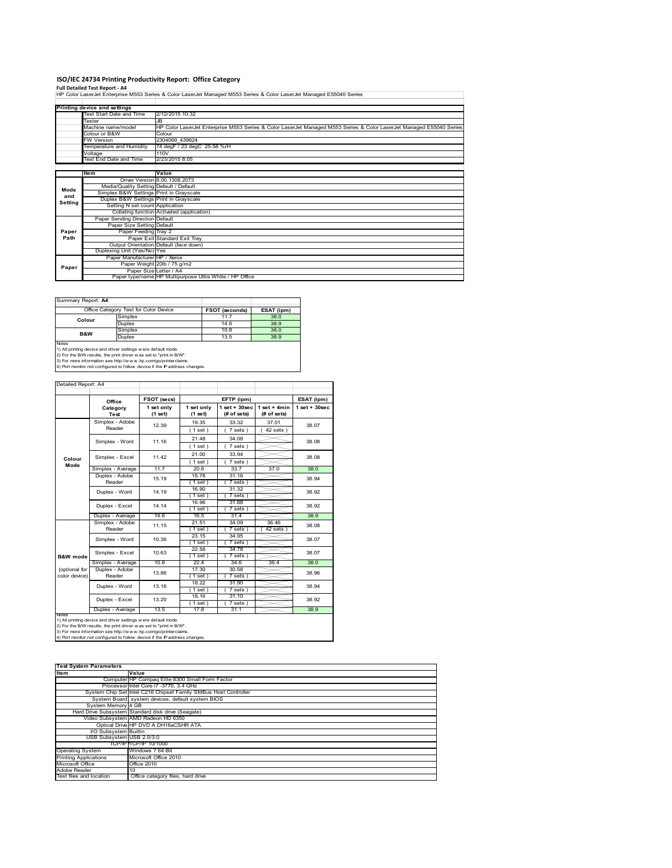**ISO/IEC 24734 Printing Productivity Report: Office Category<br>Full Detailed Test Report - A4<br>HP Color LaserJet Enterprise M553 Series & Color LaserJet Managed M553 Series & Color LaserJet Managed E55040 Series** 

|         | Printing device and settings                                                                                         |                                                         |
|---------|----------------------------------------------------------------------------------------------------------------------|---------------------------------------------------------|
|         | Test Start Date and Time                                                                                             | 2/12/2015 10:32                                         |
|         | Tester<br>Machine name/model                                                                                         | <b>JB</b>                                               |
|         | HP Color LaserJet Enterprise M553 Series & Color LaserJet Managed M553 Series & Color LaserJet Managed E55040 Series |                                                         |
|         | Colour or B&W                                                                                                        | Colour                                                  |
|         | <b>FW Version</b>                                                                                                    | 2304069 439624                                          |
|         | Temperature and Humidity                                                                                             | 74 degF / 23 degC 25.58 %rH                             |
|         | Voltage                                                                                                              | 110 <sub>V</sub>                                        |
|         | Test End Date and Time                                                                                               | 2/23/2015 8:05                                          |
|         |                                                                                                                      |                                                         |
|         | ltem                                                                                                                 | Value                                                   |
|         |                                                                                                                      | Driver Version 8.00.1308.2073                           |
| Mode    | Media/Quality Setting Default / Default                                                                              |                                                         |
| and     | Simplex B&W Settings Print in Grayscale                                                                              |                                                         |
| Setting | Duplex B&W Settings Print in Grayscale                                                                               |                                                         |
|         | Setting N set count Application                                                                                      |                                                         |
|         |                                                                                                                      | Collating function Activated (application)              |
|         | Paper Sending Direction Default                                                                                      |                                                         |
|         | Paper Size Setting Default                                                                                           |                                                         |
| Paper   | Paper Feeding Tray 2                                                                                                 |                                                         |
| Path    |                                                                                                                      | Paper Exit Standard Exit Tray                           |
|         |                                                                                                                      | Output Orientation Default (face down)                  |
|         | Duplexing Unit (Yes/No) Yes                                                                                          |                                                         |
|         | Paper Manufacturer HP / Xerox                                                                                        |                                                         |
| Paper   |                                                                                                                      | Paper Weight 20lb / 75 g/m2                             |
|         |                                                                                                                      | Paper Size Letter / A4                                  |
|         |                                                                                                                      | Paper type/name HP Multipurpose Ultra White / HP Office |

| Summary Report: A4 |                                                                                                                                                                                                                                                                                       |                       |            |
|--------------------|---------------------------------------------------------------------------------------------------------------------------------------------------------------------------------------------------------------------------------------------------------------------------------------|-----------------------|------------|
|                    | Office Category Test for Color Device                                                                                                                                                                                                                                                 | <b>FSOT (seconds)</b> | ESAT (ipm) |
| Colour             | Simplex                                                                                                                                                                                                                                                                               | 11.7                  | 38.0       |
|                    | <b>Duplex</b>                                                                                                                                                                                                                                                                         | 14.6                  | 38.9       |
| <b>B&amp;W</b>     | Simplex                                                                                                                                                                                                                                                                               | 10.8                  | 38.0       |
|                    | <b>Duplex</b>                                                                                                                                                                                                                                                                         | 13.5                  | 38.9       |
| <b>Notes</b>       | 1) All printing device and driver settings were default mode.<br>2) For the B/W results, the print driver was set to "print in B/W".<br>3) For more information see http://www.hp.com/go/printerclaims.<br>4) Port monitor not configured to follow device if the IP address changes. |                       |            |

|                                                                                                                                                                                                                                                                                        | Office                  | FSOT (secs)<br>EFTP (ipm) |                       |                                | ESAT (ipm)                    |                   |  |
|----------------------------------------------------------------------------------------------------------------------------------------------------------------------------------------------------------------------------------------------------------------------------------------|-------------------------|---------------------------|-----------------------|--------------------------------|-------------------------------|-------------------|--|
|                                                                                                                                                                                                                                                                                        | Category<br><b>Test</b> | 1 set only<br>(1 set)     | 1 set only<br>(1 set) | $1$ set + 30sec<br>(# of sets) | $1$ set + 4min<br>(# of sets) | $1$ set $+30$ sec |  |
|                                                                                                                                                                                                                                                                                        | Simplex - Adobe         | 12.39                     | 19.35                 | 33.32                          | 37.01                         | 38.07             |  |
|                                                                                                                                                                                                                                                                                        | Reader                  |                           | (1 set)               | $7 sets$ )                     | $42$ sets $)$                 |                   |  |
|                                                                                                                                                                                                                                                                                        | Simplex - Word          | 11.16                     | 21.48                 | 34.08                          |                               | 38.08             |  |
|                                                                                                                                                                                                                                                                                        |                         |                           | (1 set)               | 7 sets)                        |                               |                   |  |
|                                                                                                                                                                                                                                                                                        | Simplex - Excel         | 11.42                     | 21.00                 | 33.94                          |                               | 38.08             |  |
| Colour<br>Mode                                                                                                                                                                                                                                                                         |                         |                           | (1 set)               | 7 sets)                        |                               |                   |  |
|                                                                                                                                                                                                                                                                                        | Simplex - Average       | 11.7                      | 20.6                  | 33.7                           | 37.0                          | 38.0              |  |
|                                                                                                                                                                                                                                                                                        | Duplex - Adobe          | 15.19                     | 15.78                 | 31.16                          |                               | 38.94<br>38.92    |  |
|                                                                                                                                                                                                                                                                                        | Reader                  |                           | $1$ set)              | $7 sets$ )                     |                               |                   |  |
|                                                                                                                                                                                                                                                                                        | Duplex - Word           | 14.19                     | 16.90                 | 31.32                          |                               |                   |  |
|                                                                                                                                                                                                                                                                                        |                         |                           | (1 set)               | 7 sets)                        |                               |                   |  |
|                                                                                                                                                                                                                                                                                        | Duplex - Excel          | 14.14                     | 16.96<br>$1$ set      | 31.88<br>7 sets                |                               | 38.92             |  |
|                                                                                                                                                                                                                                                                                        | Duplex - Average        | 14.6                      | 16.5                  | 31.4                           |                               | 38.9              |  |
|                                                                                                                                                                                                                                                                                        | Simplex - Adobe         | 11.15                     | 21.51                 | 34.09                          | 36.46                         | 38.08             |  |
|                                                                                                                                                                                                                                                                                        | Reader                  |                           | (1 set )              | $7 sets$ )                     | $42$ sets                     |                   |  |
|                                                                                                                                                                                                                                                                                        | Simplex - Word          | 10.36                     | 23.15                 | 34.95                          |                               | 38.07             |  |
|                                                                                                                                                                                                                                                                                        |                         |                           | (1 set)               | 7 sets                         |                               |                   |  |
|                                                                                                                                                                                                                                                                                        | Simplex - Excel         | 10.63                     | 22.58                 | 34.78                          |                               | 38.07             |  |
| <b>B&amp;W</b> mode                                                                                                                                                                                                                                                                    |                         |                           | (1 set)               | 7 sets)                        |                               |                   |  |
|                                                                                                                                                                                                                                                                                        | Simplex - Average       | 10.8                      | 22.4                  | 34.6                           | 36.4                          | 38.0              |  |
| (optional for                                                                                                                                                                                                                                                                          | Duplex - Adobe          | 13.86                     | 17.30                 | 30.58                          |                               | 38.96             |  |
| color device)                                                                                                                                                                                                                                                                          | Reader                  |                           | $1$ set)              | 7 sets)                        |                               |                   |  |
|                                                                                                                                                                                                                                                                                        | Duplex - Word           | 13.16                     | 18.22                 | 31.90                          |                               | 38.94             |  |
|                                                                                                                                                                                                                                                                                        |                         |                           | (1 set)<br>18.16      | 7 sets)<br>31.10               |                               |                   |  |
|                                                                                                                                                                                                                                                                                        | Duplex - Excel          | 13.20                     | $1$ set)              | 7 sets)                        |                               | 38.92             |  |
|                                                                                                                                                                                                                                                                                        | Duplex - Average        | 13.5                      | 17.8                  | 31.1                           |                               | 38.9              |  |
| Notes                                                                                                                                                                                                                                                                                  |                         |                           |                       |                                |                               |                   |  |
| 1) All printing device and driver settings w ere default mode.<br>2) For the B/W results, the print driver was set to "print in B/W".<br>3) For more information see http://www.hp.com/go/printerclaims.<br>4) Port monitor not configured to follow device if the IP address changes. |                         |                           |                       |                                |                               |                   |  |

| <b>Test System Parameters</b> |                                                                 |  |  |  |
|-------------------------------|-----------------------------------------------------------------|--|--|--|
| Item                          | Value                                                           |  |  |  |
|                               | Computer HP Compaq Elite 8300 Small Form Factor                 |  |  |  |
|                               | Processor Intel Core i7 -3770, 3.4 GHz                          |  |  |  |
|                               | System Chip Set Intel C216 Chipset Family SMBus Host Controller |  |  |  |
|                               | System Board system devices, default system BIOS                |  |  |  |
| System Memory 4 GB            |                                                                 |  |  |  |
|                               | Hard Drive Subsystem Standard disk drive (Seagate)              |  |  |  |
|                               | Video Subsystem AMD Radeon HD 6350                              |  |  |  |
|                               | Optical Drive HP DVD A DH16aCSHR ATA                            |  |  |  |
| <b>VO Subsystem Builtin</b>   |                                                                 |  |  |  |
| USB Subsystem USB 2.0/3.0     |                                                                 |  |  |  |
|                               | TCP/IP TCP/IP 10/1000                                           |  |  |  |
| <b>Operating System</b>       | Windows 7 64 Bit                                                |  |  |  |
| <b>Printing Applications</b>  | Microsoft Office 2010                                           |  |  |  |
| Microsoft Office              | Office 2010                                                     |  |  |  |
| Adobe Reader                  | 10                                                              |  |  |  |
| Test files and location       | Office category files, hard drive                               |  |  |  |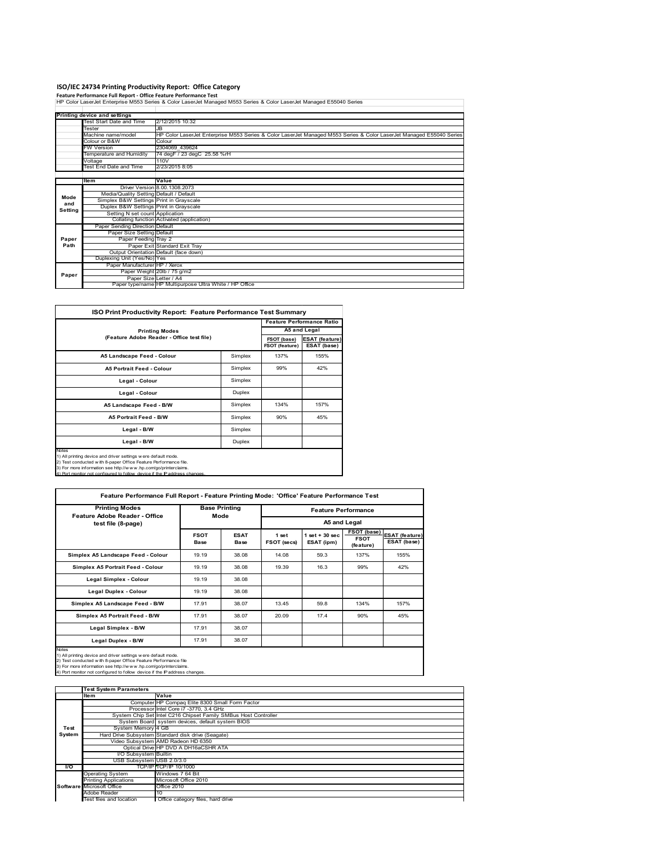## **ISO/IEC 24734 Printing Productivity Report: Office Category**

**Feature Performance Full Report ‐ Office Feature Performance Test** HP Color LaserJet Enterprise M553 Series & Color LaserJet Managed M553 Series & Color LaserJet Managed E55040 Series

|         | Printing device and settings            |                                                                                                                      |
|---------|-----------------------------------------|----------------------------------------------------------------------------------------------------------------------|
|         | Test Start Date and Time                | 2/12/2015 10:32                                                                                                      |
|         | Tester                                  | JB.                                                                                                                  |
|         | Machine name/model                      | HP Color LaserJet Enterprise M553 Series & Color LaserJet Managed M553 Series & Color LaserJet Managed E55040 Series |
|         | Colour or B&W                           | Colour                                                                                                               |
|         | <b>FW Version</b>                       | 2304069 439624                                                                                                       |
|         | Temperature and Humidity                | 74 degF / 23 degC 25.58 %rH                                                                                          |
|         | Voltage                                 | 110V                                                                                                                 |
|         | Test End Date and Time                  | 2/23/2015 8:05                                                                                                       |
|         |                                         |                                                                                                                      |
|         | Item                                    | Value                                                                                                                |
|         |                                         | Driver Version 8.00.1308.2073                                                                                        |
| Mode    | Media/Quality Setting Default / Default |                                                                                                                      |
| and     | Simplex B&W Settings Print in Grayscale |                                                                                                                      |
| Setting | Duplex B&W Settings Print in Grayscale  |                                                                                                                      |
|         | Setting N set count Application         |                                                                                                                      |
|         |                                         | Collating function Activated (application)                                                                           |
|         | Paper Sending Direction Default         |                                                                                                                      |
|         | Paper Size Setting Default              |                                                                                                                      |
| Paper   | Paper Feeding Tray 2                    |                                                                                                                      |
| Path    |                                         | Paper Exit Standard Exit Tray                                                                                        |
|         |                                         | Output Orientation Default (face down)                                                                               |
|         | Duplexing Unit (Yes/No) Yes             |                                                                                                                      |
|         | Paper Manufacturer HP / Xerox           |                                                                                                                      |
| Paper   |                                         | Paper Weight 20lb / 75 g/m2                                                                                          |
|         |                                         | Paper Size Letter / A4                                                                                               |
|         |                                         | Paper type/name HP Multipurpose Ultra White / HP Office                                                              |

| <b>ISO Print Productivity Report: Feature Performance Test Summary</b>                                                                                                                                                                                                                      |         |      |              |  |  |
|---------------------------------------------------------------------------------------------------------------------------------------------------------------------------------------------------------------------------------------------------------------------------------------------|---------|------|--------------|--|--|
|                                                                                                                                                                                                                                                                                             |         |      |              |  |  |
| <b>Printing Modes</b>                                                                                                                                                                                                                                                                       |         |      | A5 and Legal |  |  |
| (Feature Adobe Reader - Office test file)                                                                                                                                                                                                                                                   |         |      |              |  |  |
| A5 Landscape Feed - Colour                                                                                                                                                                                                                                                                  | Simplex | 137% | 155%         |  |  |
| <b>A5 Portrait Feed - Colour</b>                                                                                                                                                                                                                                                            | Simplex | 99%  | 42%          |  |  |
| Legal - Colour                                                                                                                                                                                                                                                                              | Simplex |      |              |  |  |
| Legal - Colour                                                                                                                                                                                                                                                                              | Duplex  |      |              |  |  |
| A5 Landscape Feed - B/W                                                                                                                                                                                                                                                                     | Simplex | 134% | 157%         |  |  |
| <b>A5 Portrait Feed - B/W</b>                                                                                                                                                                                                                                                               | Simplex | 90%  | 45%          |  |  |
| Legal - B/W                                                                                                                                                                                                                                                                                 | Simplex |      |              |  |  |
| Legal - B/W                                                                                                                                                                                                                                                                                 | Duplex  |      |              |  |  |
| Notes<br>1) All printing device and driver settings w ere default mode.<br>2) Test conducted with 8-paper Office Feature Performance file.<br>3) For more information see http://www.hp.com/go/printerclaims.<br>4) Port monitor not configured to follow device if the IP address changes. |         |      |              |  |  |

| <b>Printing Modes</b><br>Feature Adobe Reader - Office |                     | <b>Base Printing</b><br>Mode |                      | <b>Feature Performance</b>      |                                         |                                      |  |  |
|--------------------------------------------------------|---------------------|------------------------------|----------------------|---------------------------------|-----------------------------------------|--------------------------------------|--|--|
| test file (8-page)                                     |                     |                              |                      | A5 and Legal                    |                                         |                                      |  |  |
|                                                        | <b>FSOT</b><br>Base | <b>ESAT</b><br><b>Base</b>   | 1 set<br>FSOT (secs) | $1$ set $+30$ sec<br>ESAT (ipm) | FSOT (base)<br><b>FSOT</b><br>(feature) | <b>ESAT (feature)</b><br>ESAT (base) |  |  |
| Simplex A5 Landscape Feed - Colour                     | 19.19               | 38.08                        | 14.08                | 59.3                            | 137%                                    | 155%                                 |  |  |
| Simplex A5 Portrait Feed - Colour                      | 19.19               | 38.08                        | 19.39                | 16.3                            | 99%                                     | 42%                                  |  |  |
| Legal Simplex - Colour                                 | 19.19               | 38.08                        |                      |                                 |                                         |                                      |  |  |
| Legal Duplex - Colour                                  | 19.19               | 38.08                        |                      |                                 |                                         |                                      |  |  |
| Simplex A5 Landscape Feed - B/W                        | 17.91               | 38.07                        | 13.45                | 59.8                            | 134%                                    | 157%                                 |  |  |
| Simplex A5 Portrait Feed - B/W                         | 17.91               | 38.07                        | 20.09                | 17.4                            | 90%                                     | 45%                                  |  |  |
| Legal Simplex - B/W                                    | 17.91               | 38.07                        |                      |                                 |                                         |                                      |  |  |
| Legal Duplex - B/W                                     | 17.91               | 38.07                        |                      |                                 |                                         |                                      |  |  |

3) For more information see http://w w w .hp.com/go/printerclaims. 4) Port monitor not configured to follow device if the IP address changes.

Value<br>
Computer HP Compaq Elite 8300 Small Form Factor<br>
Processor Intel Core 17 -3770, 3.4 GHz<br>
System Chp Set Intel C2f6 Chipset Family SMBus Host Controller<br>
System Board system devices, default system BIOS<br>
System Memor Optical Drive HP DVD A DH16aCSHR ATA I/O Subsystem Builtin USB Subsystem USB 2.0/3.0 USB Subsystem USB 2.0/3.0<br> **I/O** TCP/IP TCP/IP 10/100 Operating System Windows 7 64 Bit Printing Applications Microsoft Office 2010 ting Applications<br>psoft Office Adobe Reader<br>Test files and location Tu<br>Office category files, hard drive **Test System Software Test System Parameters**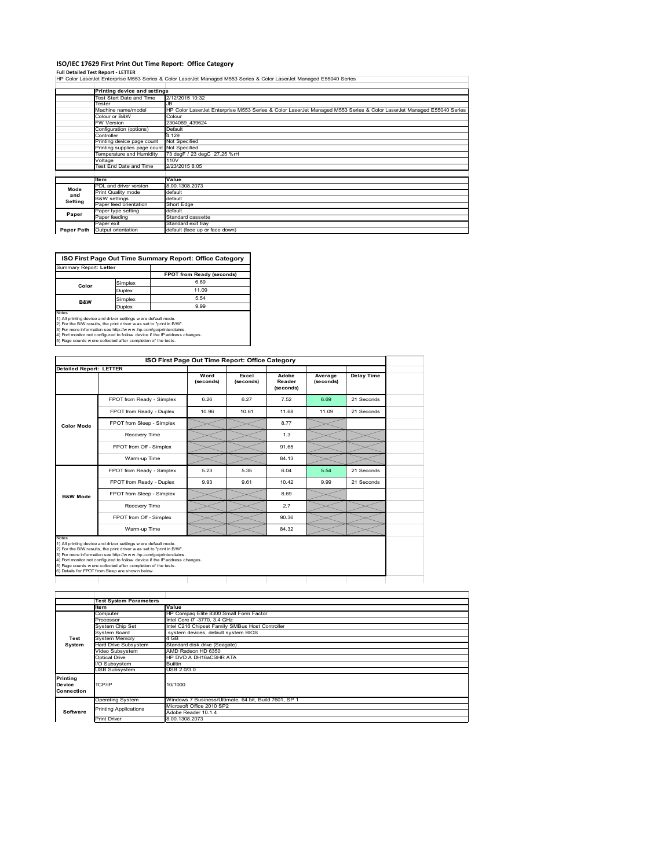## **ISO/IEC 17629 First Print Out Time Report: Office Category**

**Full Detailed Test Report ‐ LETTER** HP Color LaserJet Enterprise M553 Series & Color LaserJet Managed M553 Series & Color LaserJet Managed E55040 Series

|            | Printing device and settings                            |                                                                                                                      |  |  |
|------------|---------------------------------------------------------|----------------------------------------------------------------------------------------------------------------------|--|--|
|            | Test Start Date and Time                                | 2/12/2015 10:32                                                                                                      |  |  |
|            | Tester                                                  | JB                                                                                                                   |  |  |
|            | Machine name/model                                      | HP Color LaserJet Enterprise M553 Series & Color LaserJet Managed M553 Series & Color LaserJet Managed E55040 Series |  |  |
|            | Colour or B&W                                           | Colour                                                                                                               |  |  |
|            | <b>FW Version</b>                                       | 2304069 439624                                                                                                       |  |  |
|            | Configuration (options)                                 | Default                                                                                                              |  |  |
|            | Controller                                              | 4.129                                                                                                                |  |  |
|            | Printing device page count                              | Not Specified                                                                                                        |  |  |
|            | Printing supplies page count Not Specified              |                                                                                                                      |  |  |
|            | 73 degF / 23 degC 27.25 %rH<br>Temperature and Humidity |                                                                                                                      |  |  |
|            | Voltage                                                 | 110V                                                                                                                 |  |  |
|            | <b>Test End Date and Time</b>                           | 2/23/2015 8:05                                                                                                       |  |  |
|            |                                                         |                                                                                                                      |  |  |
|            | ltem                                                    | Value                                                                                                                |  |  |
| Mode       | PDL and driver version                                  | 8.00.1308.2073                                                                                                       |  |  |
| and        | Print Quality mode                                      | default                                                                                                              |  |  |
| Setting    | <b>B&amp;W</b> settings                                 | default                                                                                                              |  |  |
|            | Paper feed orientation                                  | Short Edge                                                                                                           |  |  |
| Paper      | Paper type setting                                      | default                                                                                                              |  |  |
|            | Paper feeding                                           | Standard cassette                                                                                                    |  |  |
|            | Paper exit                                              | Standard exit tray                                                                                                   |  |  |
| Paper Path | Output orientation                                      | default (face up or face down)                                                                                       |  |  |

٦



| <b>Detailed Report: LETTER</b> |                           |                   |                    |                              |                      |                   |
|--------------------------------|---------------------------|-------------------|--------------------|------------------------------|----------------------|-------------------|
|                                |                           | Word<br>(seconds) | Excel<br>(seconds) | Adobe<br>Reader<br>(seconds) | Average<br>(seconds) | <b>Delay Time</b> |
|                                | FPOT from Ready - Simplex | 6.26              | 6.27               | 7.52                         | 6.69                 | 21 Seconds        |
|                                | FPOT from Ready - Duplex  | 10.96             | 10.61              | 11.68                        | 11.09                | 21 Seconds        |
| <b>Color Mode</b>              | FPOT from Sleep - Simplex |                   |                    | 8.77                         |                      |                   |
|                                | Recovery Time             |                   |                    | 1.3                          |                      |                   |
|                                | FPOT from Off - Simplex   |                   |                    | 91.65                        |                      |                   |
|                                | Warm-up Time              |                   |                    | 84.13                        |                      |                   |
|                                | FPOT from Ready - Simplex | 5.23              | 5.35               | 6.04                         | 5.54                 | 21 Seconds        |
|                                | FPOT from Ready - Duplex  | 9.93              | 9.61               | 10.42                        | 9.99                 | 21 Seconds        |
| <b>B&amp;W Mode</b>            | FPOT from Sleep - Simplex |                   |                    | 8.69                         |                      |                   |
|                                | Recovery Time             |                   |                    | 2.7                          |                      |                   |
|                                | FPOT from Off - Simplex   |                   |                    | 90.36                        |                      |                   |
|                                | Warm-up Time              |                   |                    | 84.32                        |                      |                   |

|                                         | <b>Test System Parameters</b> |                                                       |  |  |  |  |
|-----------------------------------------|-------------------------------|-------------------------------------------------------|--|--|--|--|
|                                         | Item                          | Value                                                 |  |  |  |  |
| Test<br>System                          | Computer                      | HP Compaq Elite 8300 Small Form Factor                |  |  |  |  |
|                                         | Processor                     | Intel Core i7 -3770, 3.4 GHz                          |  |  |  |  |
|                                         | <b>System Chip Set</b>        | Intel C216 Chipset Family SMBus Host Controller       |  |  |  |  |
|                                         | System Board                  | system devices, default system BIOS                   |  |  |  |  |
|                                         | Svstem Memorv                 | 4 GB                                                  |  |  |  |  |
|                                         | Hard Drive Subsystem          | Standard disk drive (Seagate)                         |  |  |  |  |
|                                         | Video Subsystem               | AMD Radeon HD 6350                                    |  |  |  |  |
|                                         | <b>Optical Drive</b>          | HP DVD A DH16aCSHR ATA                                |  |  |  |  |
|                                         | I/O Subsystem                 | <b>Builtin</b>                                        |  |  |  |  |
|                                         | <b>USB Subsystem</b>          | USB 2.0/3.0                                           |  |  |  |  |
| Printing<br><b>Device</b><br>Connection | TCP/IP                        | 10/1000                                               |  |  |  |  |
| Software                                | <b>Operating System</b>       | Windows 7 Business/Ultimate, 64 bit, Build 7601, SP 1 |  |  |  |  |
|                                         | <b>Printing Applications</b>  | Microsoft Office 2010 SP2                             |  |  |  |  |
|                                         |                               | Adobe Reader 10.1.4                                   |  |  |  |  |
|                                         | <b>Print Driver</b>           | 8.00.1308.2073                                        |  |  |  |  |